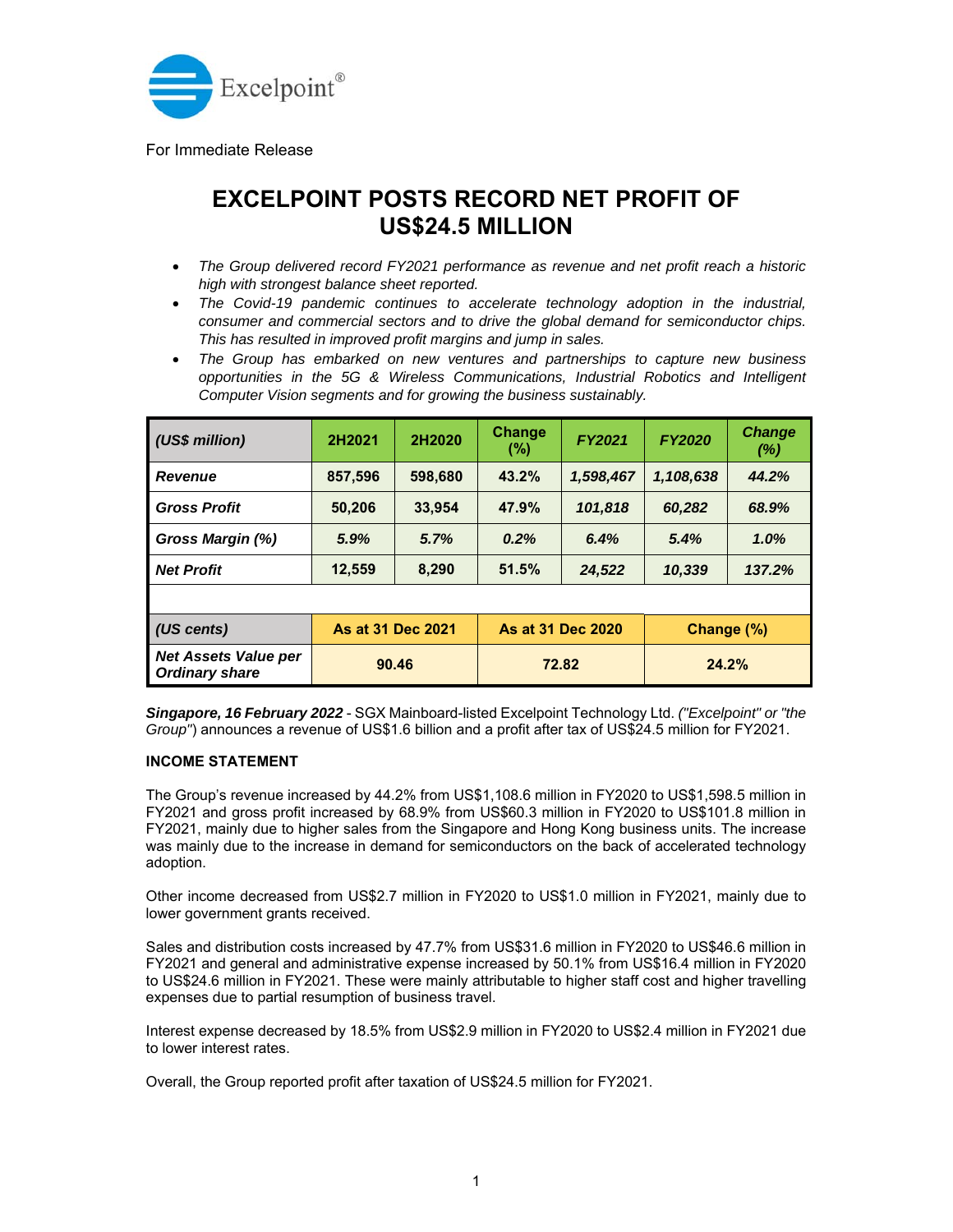

For Immediate Release

## **EXCELPOINT POSTS RECORD NET PROFIT OF US\$24.5 MILLION**

- *The Group delivered record FY2021 performance as revenue and net profit reach a historic high with strongest balance sheet reported.*
- *The Covid-19 pandemic continues to accelerate technology adoption in the industrial, consumer and commercial sectors and to drive the global demand for semiconductor chips. This has resulted in improved profit margins and jump in sales.*
- *The Group has embarked on new ventures and partnerships to capture new business opportunities in the 5G & Wireless Communications, Industrial Robotics and Intelligent Computer Vision segments and for growing the business sustainably.*

| (US\$ million)                                       | 2H2021            | 2H2020  | <b>Change</b><br>(%) | FY2021    | <b>FY2020</b> | <b>Change</b><br>$(\%)$ |
|------------------------------------------------------|-------------------|---------|----------------------|-----------|---------------|-------------------------|
| <b>Revenue</b>                                       | 857,596           | 598,680 | 43.2%                | 1,598,467 | 1,108,638     | 44.2%                   |
| <b>Gross Profit</b>                                  | 50,206            | 33,954  | 47.9%                | 101,818   | 60,282        | 68.9%                   |
| Gross Margin (%)                                     | 5.9%              | 5.7%    | 0.2%                 | 6.4%      | 5.4%          | 1.0%                    |
| <b>Net Profit</b>                                    | 12,559            | 8,290   | 51.5%                | 24,522    | 10,339        | 137.2%                  |
|                                                      |                   |         |                      |           |               |                         |
| (US cents)                                           | As at 31 Dec 2021 |         | As at 31 Dec 2020    |           | Change (%)    |                         |
| <b>Net Assets Value per</b><br><b>Ordinary share</b> | 90.46             |         | 72.82                |           | 24.2%         |                         |

*Singapore, 16 February 2022* - SGX Mainboard-listed Excelpoint Technology Ltd. *("Excelpoint" or "the Group"*) announces a revenue of US\$1.6 billion and a profit after tax of US\$24.5 million for FY2021.

## **INCOME STATEMENT**

The Group's revenue increased by 44.2% from US\$1,108.6 million in FY2020 to US\$1,598.5 million in FY2021 and gross profit increased by 68.9% from US\$60.3 million in FY2020 to US\$101.8 million in FY2021, mainly due to higher sales from the Singapore and Hong Kong business units. The increase was mainly due to the increase in demand for semiconductors on the back of accelerated technology adoption.

Other income decreased from US\$2.7 million in FY2020 to US\$1.0 million in FY2021, mainly due to lower government grants received.

Sales and distribution costs increased by 47.7% from US\$31.6 million in FY2020 to US\$46.6 million in FY2021 and general and administrative expense increased by 50.1% from US\$16.4 million in FY2020 to US\$24.6 million in FY2021. These were mainly attributable to higher staff cost and higher travelling expenses due to partial resumption of business travel.

Interest expense decreased by 18.5% from US\$2.9 million in FY2020 to US\$2.4 million in FY2021 due to lower interest rates.

Overall, the Group reported profit after taxation of US\$24.5 million for FY2021.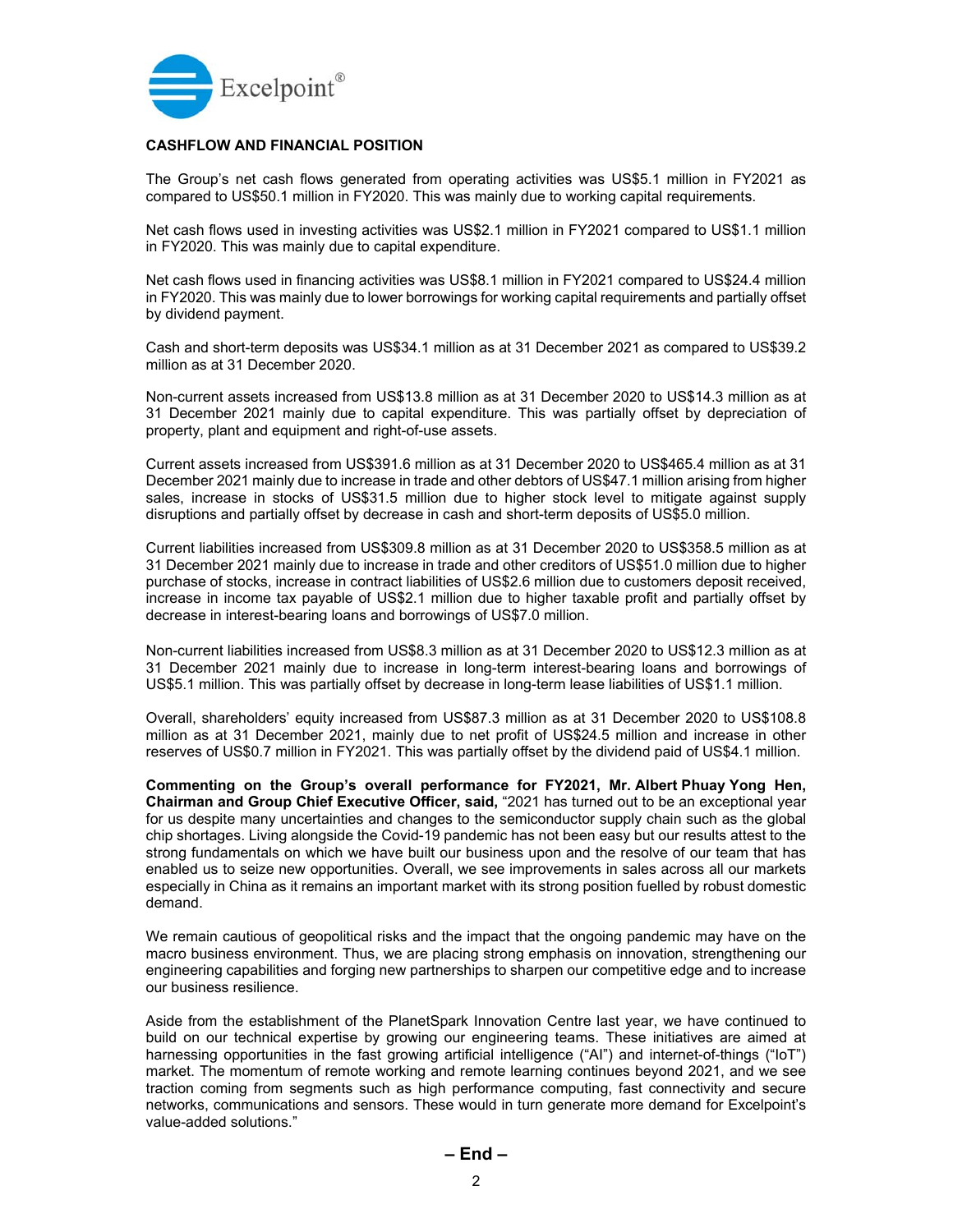

## **CASHFLOW AND FINANCIAL POSITION**

The Group's net cash flows generated from operating activities was US\$5.1 million in FY2021 as compared to US\$50.1 million in FY2020. This was mainly due to working capital requirements.

Net cash flows used in investing activities was US\$2.1 million in FY2021 compared to US\$1.1 million in FY2020. This was mainly due to capital expenditure.

Net cash flows used in financing activities was US\$8.1 million in FY2021 compared to US\$24.4 million in FY2020. This was mainly due to lower borrowings for working capital requirements and partially offset by dividend payment.

Cash and short-term deposits was US\$34.1 million as at 31 December 2021 as compared to US\$39.2 million as at 31 December 2020.

Non-current assets increased from US\$13.8 million as at 31 December 2020 to US\$14.3 million as at 31 December 2021 mainly due to capital expenditure. This was partially offset by depreciation of property, plant and equipment and right-of-use assets.

Current assets increased from US\$391.6 million as at 31 December 2020 to US\$465.4 million as at 31 December 2021 mainly due to increase in trade and other debtors of US\$47.1 million arising from higher sales, increase in stocks of US\$31.5 million due to higher stock level to mitigate against supply disruptions and partially offset by decrease in cash and short-term deposits of US\$5.0 million.

Current liabilities increased from US\$309.8 million as at 31 December 2020 to US\$358.5 million as at 31 December 2021 mainly due to increase in trade and other creditors of US\$51.0 million due to higher purchase of stocks, increase in contract liabilities of US\$2.6 million due to customers deposit received, increase in income tax payable of US\$2.1 million due to higher taxable profit and partially offset by decrease in interest-bearing loans and borrowings of US\$7.0 million.

Non-current liabilities increased from US\$8.3 million as at 31 December 2020 to US\$12.3 million as at 31 December 2021 mainly due to increase in long-term interest-bearing loans and borrowings of US\$5.1 million. This was partially offset by decrease in long-term lease liabilities of US\$1.1 million.

Overall, shareholders' equity increased from US\$87.3 million as at 31 December 2020 to US\$108.8 million as at 31 December 2021, mainly due to net profit of US\$24.5 million and increase in other reserves of US\$0.7 million in FY2021. This was partially offset by the dividend paid of US\$4.1 million.

**Commenting on the Group's overall performance for FY2021, Mr. Albert Phuay Yong Hen, Chairman and Group Chief Executive Officer, said,** "2021 has turned out to be an exceptional year for us despite many uncertainties and changes to the semiconductor supply chain such as the global chip shortages. Living alongside the Covid-19 pandemic has not been easy but our results attest to the strong fundamentals on which we have built our business upon and the resolve of our team that has enabled us to seize new opportunities. Overall, we see improvements in sales across all our markets especially in China as it remains an important market with its strong position fuelled by robust domestic demand.

We remain cautious of geopolitical risks and the impact that the ongoing pandemic may have on the macro business environment. Thus, we are placing strong emphasis on innovation, strengthening our engineering capabilities and forging new partnerships to sharpen our competitive edge and to increase our business resilience.

Aside from the establishment of the PlanetSpark Innovation Centre last year, we have continued to build on our technical expertise by growing our engineering teams. These initiatives are aimed at harnessing opportunities in the fast growing artificial intelligence ("AI") and internet-of-things ("IoT") market. The momentum of remote working and remote learning continues beyond 2021, and we see traction coming from segments such as high performance computing, fast connectivity and secure networks, communications and sensors. These would in turn generate more demand for Excelpoint's value-added solutions."